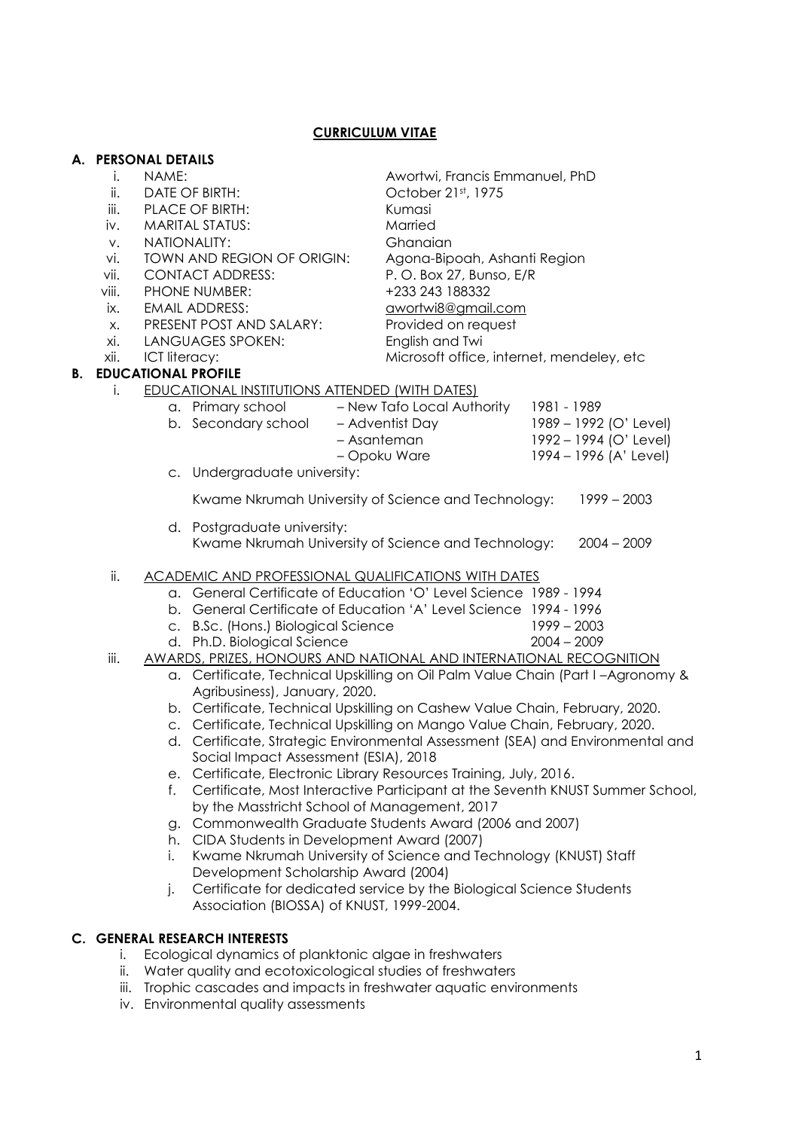|    |                                                                            | A. PERSONAL DETAILS                                                                 |                                                       |                                |                                           |                        |  |
|----|----------------------------------------------------------------------------|-------------------------------------------------------------------------------------|-------------------------------------------------------|--------------------------------|-------------------------------------------|------------------------|--|
|    | İ.                                                                         | NAME:                                                                               |                                                       | Awortwi, Francis Emmanuel, PhD |                                           |                        |  |
|    | ii.                                                                        | DATE OF BIRTH:                                                                      |                                                       |                                | October 21st, 1975                        |                        |  |
|    | iii.                                                                       | PLACE OF BIRTH:                                                                     |                                                       | Kumasi                         |                                           |                        |  |
|    | iv.                                                                        |                                                                                     | <b>MARITAL STATUS:</b>                                |                                | Married                                   |                        |  |
|    | V.                                                                         |                                                                                     | NATIONALITY:                                          |                                | Ghanaian                                  |                        |  |
|    | vi.                                                                        | TOWN AND REGION OF ORIGIN:                                                          |                                                       | Agona-Bipoah, Ashanti Region   |                                           |                        |  |
|    | vii.                                                                       | <b>CONTACT ADDRESS:</b>                                                             |                                                       | P.O. Box 27, Bunso, E/R        |                                           |                        |  |
|    | viii.                                                                      | PHONE NUMBER:                                                                       |                                                       | +233 243 188332                |                                           |                        |  |
|    | ix.                                                                        | <b>EMAIL ADDRESS:</b>                                                               |                                                       | awortwi8@gmail.com             |                                           |                        |  |
|    | X.                                                                         | PRESENT POST AND SALARY:                                                            |                                                       | Provided on request            |                                           |                        |  |
|    | xi.                                                                        | LANGUAGES SPOKEN:                                                                   |                                                       | English and Twi                |                                           |                        |  |
|    | xii.                                                                       | ICT literacy:                                                                       |                                                       |                                | Microsoft office, internet, mendeley, etc |                        |  |
| В. |                                                                            | <b>EDUCATIONAL PROFILE</b>                                                          |                                                       |                                |                                           |                        |  |
|    | i.                                                                         |                                                                                     | <b>EDUCATIONAL INSTITUTIONS ATTENDED (WITH DATES)</b> |                                |                                           |                        |  |
|    |                                                                            |                                                                                     | a. Primary school - New Tafo Local Authority          |                                |                                           | 1981 - 1989            |  |
|    |                                                                            |                                                                                     | b. Secondary school                                   |                                | - Adventist Day                           | 1989 - 1992 (O' Level) |  |
|    |                                                                            |                                                                                     |                                                       |                                | - Asanteman                               | 1992 - 1994 (O' Level) |  |
|    |                                                                            |                                                                                     |                                                       | - Opoku Ware                   | 1994 - 1996 (A' Level)                    |                        |  |
|    |                                                                            | c. Undergraduate university:                                                        |                                                       |                                |                                           |                        |  |
|    |                                                                            | Kwame Nkrumah University of Science and Technology:<br>$1999 - 2003$                |                                                       |                                |                                           |                        |  |
|    |                                                                            | d. Postgraduate university:                                                         |                                                       |                                |                                           |                        |  |
|    |                                                                            | Kwame Nkrumah University of Science and Technology:<br>$2004 - 2009$                |                                                       |                                |                                           |                        |  |
|    |                                                                            |                                                                                     |                                                       |                                |                                           |                        |  |
|    | ii.<br><b>ACADEMIC AND PROFESSIONAL QUALIFICATIONS WITH DATES</b>          |                                                                                     |                                                       |                                |                                           |                        |  |
|    | a. General Certificate of Education 'O' Level Science 1989 - 1994          |                                                                                     |                                                       |                                |                                           |                        |  |
|    |                                                                            | b. General Certificate of Education 'A' Level Science 1994 - 1996                   |                                                       |                                |                                           |                        |  |
|    |                                                                            |                                                                                     | c. B.Sc. (Hons.) Biological Science                   |                                |                                           | $1999 - 2003$          |  |
|    |                                                                            |                                                                                     | d. Ph.D. Biological Science                           |                                |                                           | $2004 - 2009$          |  |
|    | iii.                                                                       | <b>AWARDS, PRIZES, HONOURS AND NATIONAL AND INTERNATIONAL RECOGNITION</b>           |                                                       |                                |                                           |                        |  |
|    |                                                                            | a. Certificate, Technical Upskilling on Oil Palm Value Chain (Part I-Agronomy &     |                                                       |                                |                                           |                        |  |
|    |                                                                            | Agribusiness), January, 2020.                                                       |                                                       |                                |                                           |                        |  |
|    |                                                                            | b. Certificate, Technical Upskilling on Cashew Value Chain, February, 2020.         |                                                       |                                |                                           |                        |  |
|    |                                                                            | c. Certificate, Technical Upskilling on Mango Value Chain, February, 2020.          |                                                       |                                |                                           |                        |  |
|    |                                                                            | d. Certificate, Strategic Environmental Assessment (SEA) and Environmental and      |                                                       |                                |                                           |                        |  |
|    |                                                                            | Social Impact Assessment (ESIA), 2018                                               |                                                       |                                |                                           |                        |  |
|    |                                                                            | Certificate, Electronic Library Resources Training, July, 2016.<br>е.               |                                                       |                                |                                           |                        |  |
|    |                                                                            | Certificate, Most Interactive Participant at the Seventh KNUST Summer School,<br>f. |                                                       |                                |                                           |                        |  |
|    |                                                                            | by the Masstricht School of Management, 2017                                        |                                                       |                                |                                           |                        |  |
|    |                                                                            | Commonwealth Graduate Students Award (2006 and 2007)<br>g.                          |                                                       |                                |                                           |                        |  |
|    |                                                                            | h. CIDA Students in Development Award (2007)                                        |                                                       |                                |                                           |                        |  |
|    |                                                                            | Kwame Nkrumah University of Science and Technology (KNUST) Staff<br>i.              |                                                       |                                |                                           |                        |  |
|    |                                                                            | Development Scholarship Award (2004)                                                |                                                       |                                |                                           |                        |  |
|    | Certificate for dedicated service by the Biological Science Students<br>j. |                                                                                     |                                                       |                                |                                           |                        |  |
|    |                                                                            |                                                                                     | Association (BIOSSA) of KNUST, 1999-2004.             |                                |                                           |                        |  |
|    |                                                                            | C. GENERAL RESEARCH INTERESTS                                                       |                                                       |                                |                                           |                        |  |
|    | i.                                                                         | Ecological dynamics of planktonic algae in freshwaters                              |                                                       |                                |                                           |                        |  |
|    | ii.                                                                        | Water quality and ecotoxicological studies of freshwaters                           |                                                       |                                |                                           |                        |  |
|    |                                                                            |                                                                                     |                                                       |                                |                                           |                        |  |

**CURRICULUM VITAE**

**A. PERSONAL DETAILS**

- iii. Trophic cascades and impacts in freshwater aquatic environments
- iv. Environmental quality assessments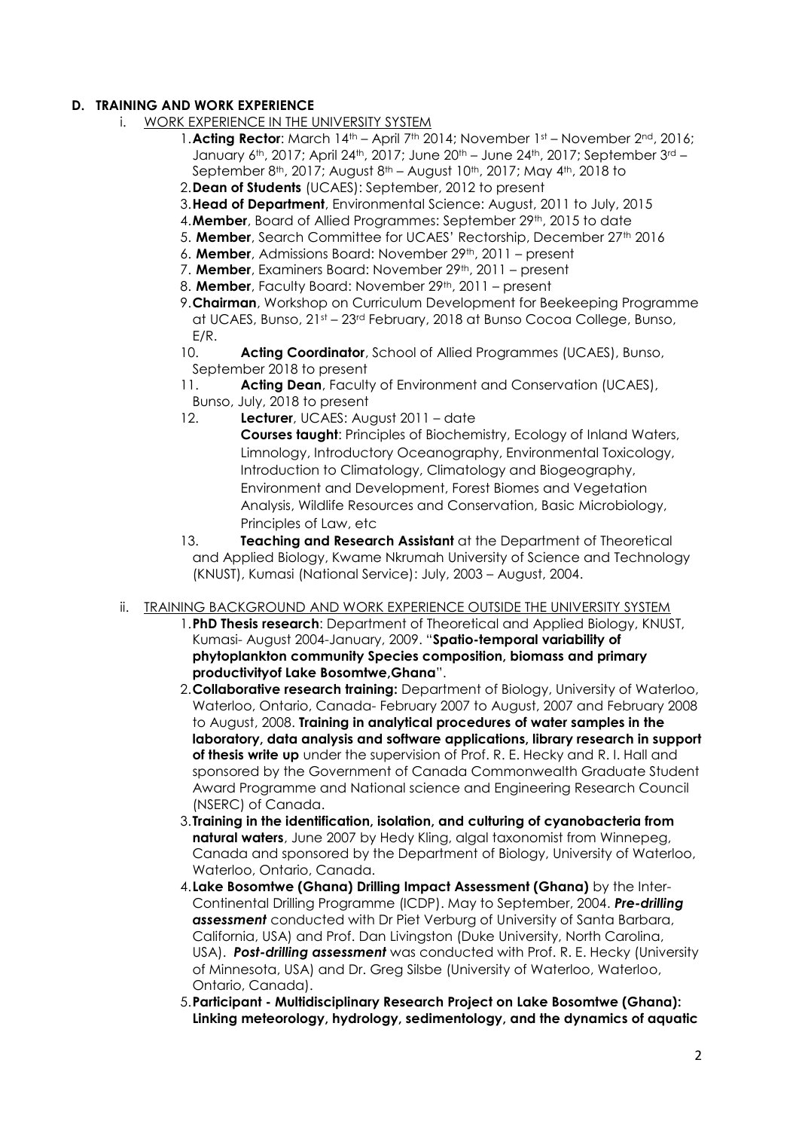#### **D. TRAINING AND WORK EXPERIENCE**

- i. WORK EXPERIENCE IN THE UNIVERSITY SYSTEM
	- 1. Acting Rector: March 14<sup>th</sup> April 7<sup>th</sup> 2014; November 1<sup>st</sup> November 2<sup>nd</sup>, 2016; January 6<sup>th</sup>, 2017; April 24<sup>th</sup>, 2017; June 20<sup>th</sup> – June 24<sup>th</sup>, 2017; September 3<sup>rd</sup> – September 8<sup>th</sup>, 2017; August 8<sup>th</sup> – August 10<sup>th</sup>, 2017; May 4<sup>th</sup>, 2018 to
	- 2.**Dean of Students** (UCAES): September, 2012 to present
	- 3.**Head of Department**, Environmental Science: August, 2011 to July, 2015
	- 4. **Member**, Board of Allied Programmes: September 29th, 2015 to date
	- 5. **Member**, Search Committee for UCAES' Rectorship, December 27th 2016
	- 6. Member, Admissions Board: November 29<sup>th</sup>, 2011 present
	- 7. Member, Examiners Board: November 29<sup>th</sup>, 2011 present
	- 8. Member, Faculty Board: November 29<sup>th</sup>, 2011 present
	- 9.**Chairman**, Workshop on Curriculum Development for Beekeeping Programme at UCAES, Bunso, 21st – 23rd February, 2018 at Bunso Cocoa College, Bunso, E/R.
	- 10. **Acting Coordinator**, School of Allied Programmes (UCAES), Bunso, September 2018 to present
	- 11. **Acting Dean**, Faculty of Environment and Conservation (UCAES), Bunso, July, 2018 to present
	- 12. **Lecturer**, UCAES: August 2011 date

**Courses taught**: Principles of Biochemistry, Ecology of Inland Waters, Limnology, Introductory Oceanography, Environmental Toxicology, Introduction to Climatology, Climatology and Biogeography, Environment and Development, Forest Biomes and Vegetation Analysis, Wildlife Resources and Conservation, Basic Microbiology, Principles of Law, etc

- 13. **Teaching and Research Assistant** at the Department of Theoretical and Applied Biology, Kwame Nkrumah University of Science and Technology (KNUST), Kumasi (National Service): July, 2003 – August, 2004.
- ii. TRAINING BACKGROUND AND WORK EXPERIENCE OUTSIDE THE UNIVERSITY SYSTEM
	- 1.**PhD Thesis research**: Department of Theoretical and Applied Biology, KNUST, Kumasi- August 2004-January, 2009. "**Spatio-temporal variability of phytoplankton community Species composition, biomass and primary productivityof Lake Bosomtwe,Ghana**".
	- 2.**Collaborative research training:** Department of Biology, University of Waterloo, Waterloo, Ontario, Canada- February 2007 to August, 2007 and February 2008 to August, 2008. **Training in analytical procedures of water samples in the laboratory, data analysis and software applications, library research in support of thesis write up** under the supervision of Prof. R. E. Hecky and R. I. Hall and sponsored by the Government of Canada Commonwealth Graduate Student Award Programme and National science and Engineering Research Council (NSERC) of Canada.
	- 3.**Training in the identification, isolation, and culturing of cyanobacteria from natural waters**, June 2007 by Hedy Kling, algal taxonomist from Winnepeg, Canada and sponsored by the Department of Biology, University of Waterloo, Waterloo, Ontario, Canada.
	- 4.**Lake Bosomtwe (Ghana) Drilling Impact Assessment (Ghana)** by the Inter-Continental Drilling Programme (ICDP). May to September, 2004. *Pre-drilling assessment* conducted with Dr Piet Verburg of University of Santa Barbara, California, USA) and Prof. Dan Livingston (Duke University, North Carolina, USA). *Post-drilling assessment* was conducted with Prof. R. E. Hecky (University of Minnesota, USA) and Dr. Greg Silsbe (University of Waterloo, Waterloo, Ontario, Canada).
	- 5.**Participant - Multidisciplinary Research Project on Lake Bosomtwe (Ghana): Linking meteorology, hydrology, sedimentology, and the dynamics of aquatic**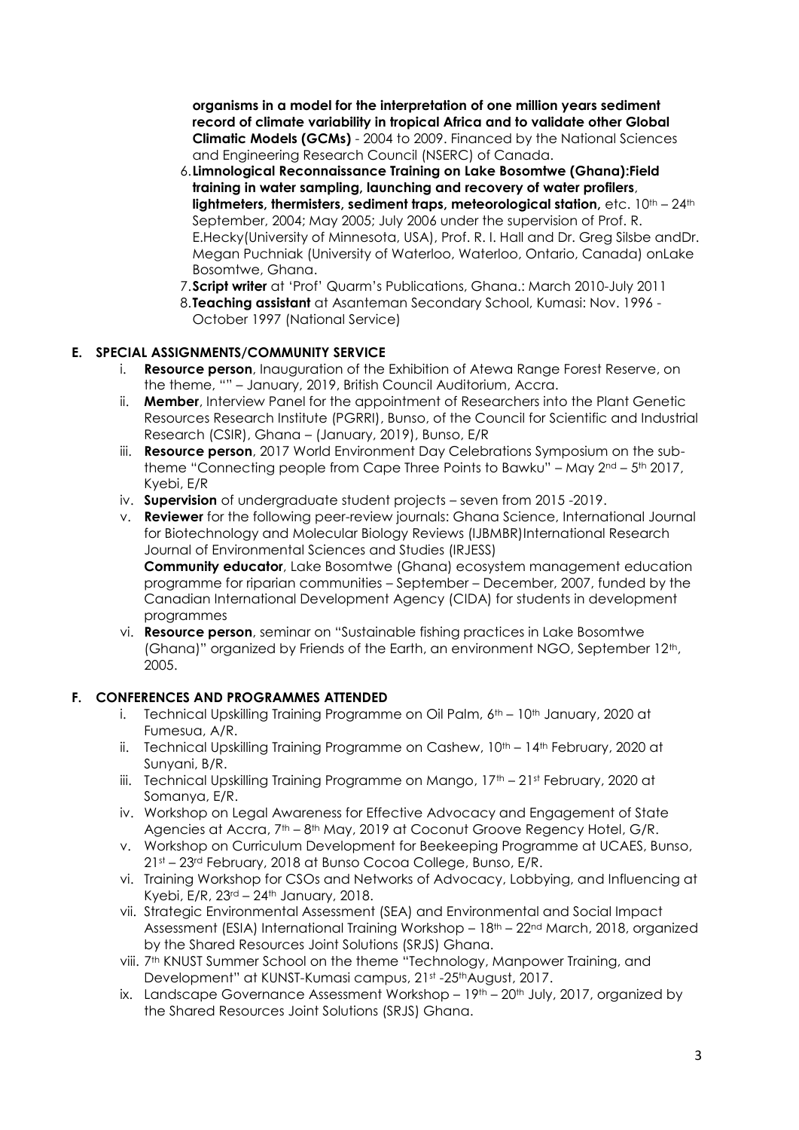**organisms in a model for the interpretation of one million years sediment record of climate variability in tropical Africa and to validate other Global Climatic Models (GCMs)** - 2004 to 2009. Financed by the National Sciences and Engineering Research Council (NSERC) of Canada.

- 6.**Limnological Reconnaissance Training on Lake Bosomtwe (Ghana):Field training in water sampling, launching and recovery of water profilers**, **lightmeters, thermisters, sediment traps, meteorological station,** etc.  $10^{th} - 24^{th}$ September, 2004; May 2005; July 2006 under the supervision of Prof. R. E.Hecky(University of Minnesota, USA), Prof. R. I. Hall and Dr. Greg Silsbe andDr. Megan Puchniak (University of Waterloo, Waterloo, Ontario, Canada) onLake Bosomtwe, Ghana.
- 7.**Script writer** at 'Prof' Quarm's Publications, Ghana.: March 2010-July 2011
- 8.**Teaching assistant** at Asanteman Secondary School, Kumasi: Nov. 1996 October 1997 (National Service)

## **E. SPECIAL ASSIGNMENTS/COMMUNITY SERVICE**

- i. **Resource person**, Inauguration of the Exhibition of Atewa Range Forest Reserve, on the theme, "" – January, 2019, British Council Auditorium, Accra.
- ii. **Member**, Interview Panel for the appointment of Researchers into the Plant Genetic Resources Research Institute (PGRRI), Bunso, of the Council for Scientific and Industrial Research (CSIR), Ghana – (January, 2019), Bunso, E/R
- iii. **Resource person**, 2017 World Environment Day Celebrations Symposium on the subtheme "Connecting people from Cape Three Points to Bawku" – May  $2<sup>nd</sup> - 5<sup>th</sup> 2017$ , Kyebi, E/R
- iv. **Supervision** of undergraduate student projects seven from 2015 -2019.
- v. **Reviewer** for the following peer-review journals: Ghana Science, International Journal for Biotechnology and Molecular Biology Reviews (IJBMBR)International Research Journal of Environmental Sciences and Studies (IRJESS) **Community educator**, Lake Bosomtwe (Ghana) ecosystem management education

programme for riparian communities – September – December, 2007, funded by the Canadian International Development Agency (CIDA) for students in development programmes

vi. **Resource person**, seminar on "Sustainable fishing practices in Lake Bosomtwe (Ghana)" organized by Friends of the Earth, an environment NGO, September 12<sup>th</sup>, 2005.

## **F. CONFERENCES AND PROGRAMMES ATTENDED**

- i. Technical Upskilling Training Programme on Oil Palm,  $6<sup>th</sup> 10<sup>th</sup>$  January, 2020 at Fumesua, A/R.
- ii. Technical Upskilling Training Programme on Cashew,  $10<sup>th</sup> 14<sup>th</sup>$  February, 2020 at Sunyani, B/R.
- iii. Technical Upskilling Training Programme on Mango, 17<sup>th</sup> 21st February, 2020 at Somanya, E/R.
- iv. Workshop on Legal Awareness for Effective Advocacy and Engagement of State Agencies at Accra, 7<sup>th</sup> – 8<sup>th</sup> May, 2019 at Coconut Groove Regency Hotel, G/R.
- v. Workshop on Curriculum Development for Beekeeping Programme at UCAES, Bunso, 21st – 23rd February, 2018 at Bunso Cocoa College, Bunso, E/R.
- vi. Training Workshop for CSOs and Networks of Advocacy, Lobbying, and Influencing at Kyebi, E/R, 23rd – 24th January, 2018.
- vii. Strategic Environmental Assessment (SEA) and Environmental and Social Impact Assessment (ESIA) International Training Workshop – 18th – 22nd March, 2018, organized by the Shared Resources Joint Solutions (SRJS) Ghana.
- viii. 7<sup>th</sup> KNUST Summer School on the theme "Technology, Manpower Training, and Development" at KUNST-Kumasi campus, 21st -25thAugust, 2017.
- ix. Landscape Governance Assessment Workshop  $-19<sup>th</sup> 20<sup>th</sup>$  July, 2017, organized by the Shared Resources Joint Solutions (SRJS) Ghana.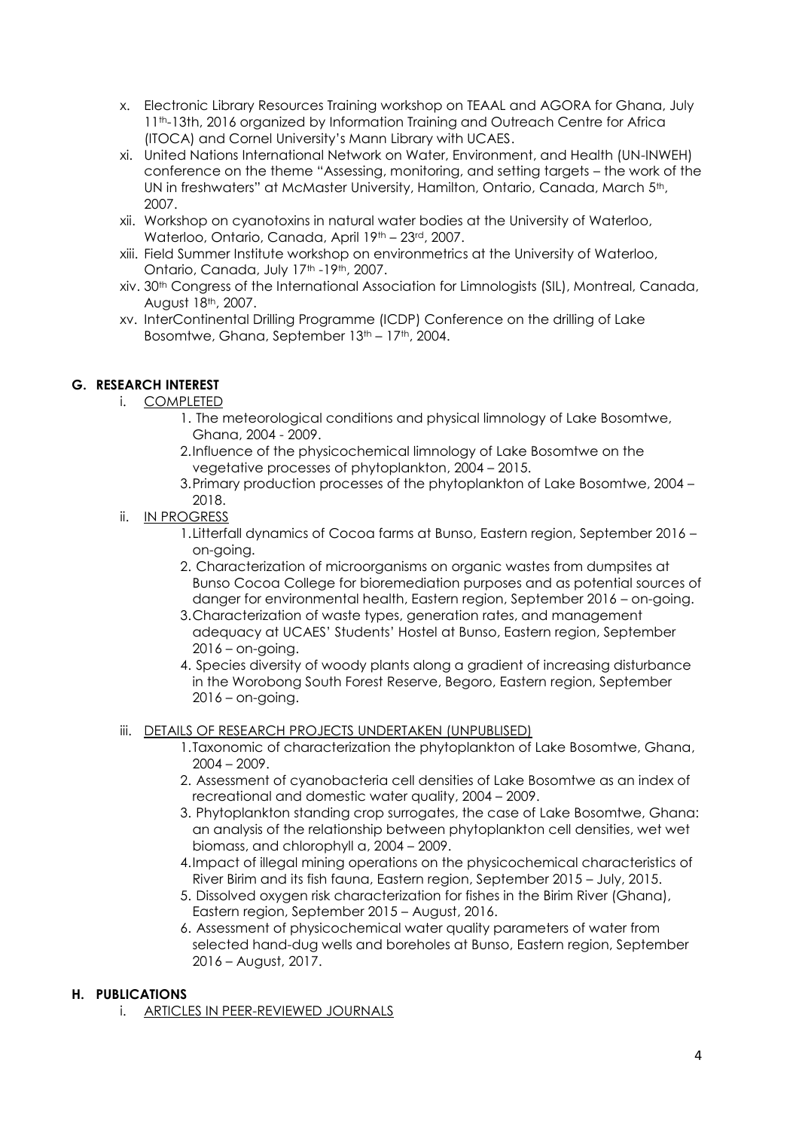- x. Electronic Library Resources Training workshop on TEAAL and AGORA for Ghana, July 11th-13th, 2016 organized by Information Training and Outreach Centre for Africa (ITOCA) and Cornel University's Mann Library with UCAES.
- xi. United Nations International Network on Water, Environment, and Health (UN-INWEH) conference on the theme "Assessing, monitoring, and setting targets – the work of the UN in freshwaters" at McMaster University, Hamilton, Ontario, Canada, March 5th, 2007.
- xii. Workshop on cyanotoxins in natural water bodies at the University of Waterloo, Waterloo, Ontario, Canada, April 19th – 23rd, 2007.
- xiii. Field Summer Institute workshop on environmetrics at the University of Waterloo, Ontario, Canada, July 17<sup>th</sup> -19<sup>th</sup>, 2007.
- xiv. 30th Congress of the International Association for Limnologists (SIL), Montreal, Canada, August 18th, 2007.
- xv. InterContinental Drilling Programme (ICDP) Conference on the drilling of Lake Bosomtwe, Ghana, September 13<sup>th</sup> – 17<sup>th</sup>, 2004.

# **G. RESEARCH INTEREST**

- i. COMPLETED
	- 1. The meteorological conditions and physical limnology of Lake Bosomtwe, Ghana, 2004 - 2009.
	- 2.Influence of the physicochemical limnology of Lake Bosomtwe on the vegetative processes of phytoplankton, 2004 – 2015.
	- 3.Primary production processes of the phytoplankton of Lake Bosomtwe, 2004 2018.
- ii. IN PROGRESS
	- 1.Litterfall dynamics of Cocoa farms at Bunso, Eastern region, September 2016 on-going.
	- 2. Characterization of microorganisms on organic wastes from dumpsites at Bunso Cocoa College for bioremediation purposes and as potential sources of danger for environmental health, Eastern region, September 2016 – on-going.
	- 3.Characterization of waste types, generation rates, and management adequacy at UCAES' Students' Hostel at Bunso, Eastern region, September  $2016 -$  on-going.
	- 4. Species diversity of woody plants along a gradient of increasing disturbance in the Worobong South Forest Reserve, Begoro, Eastern region, September  $2016 -$  on-going.
- iii. DETAILS OF RESEARCH PROJECTS UNDERTAKEN (UNPUBLISED)
	- 1.Taxonomic of characterization the phytoplankton of Lake Bosomtwe, Ghana, 2004 – 2009.
	- 2. Assessment of cyanobacteria cell densities of Lake Bosomtwe as an index of recreational and domestic water quality, 2004 – 2009.
	- 3. Phytoplankton standing crop surrogates, the case of Lake Bosomtwe, Ghana: an analysis of the relationship between phytoplankton cell densities, wet wet biomass, and chlorophyll a, 2004 – 2009.
	- 4.Impact of illegal mining operations on the physicochemical characteristics of River Birim and its fish fauna, Eastern region, September 2015 – July, 2015.
	- 5. Dissolved oxygen risk characterization for fishes in the Birim River (Ghana), Eastern region, September 2015 – August, 2016.
	- 6. Assessment of physicochemical water quality parameters of water from selected hand-dug wells and boreholes at Bunso, Eastern region, September 2016 – August, 2017.

## **H. PUBLICATIONS**

i. ARTICLES IN PEER-REVIEWED JOURNALS